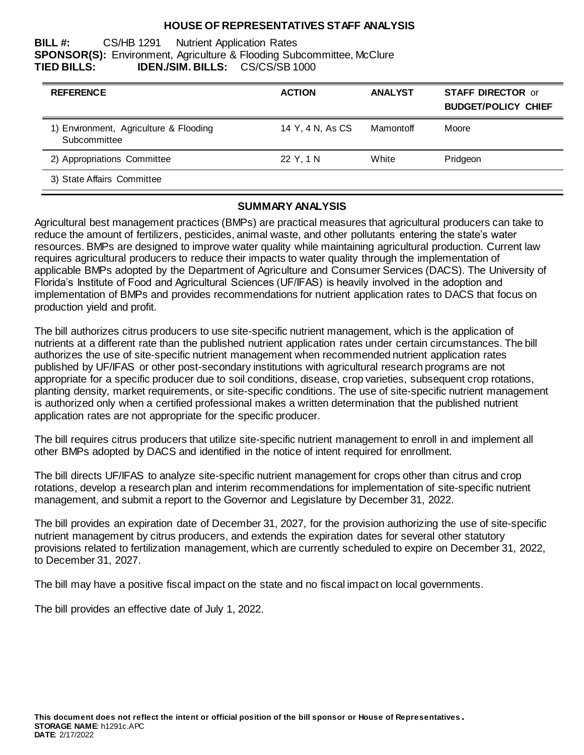#### **HOUSE OF REPRESENTATIVES STAFF ANALYSIS**

#### **BILL #:** CS/HB 1291 Nutrient Application Rates **SPONSOR(S):** Environment, Agriculture & Flooding Subcommittee, McClure **TIED BILLS: IDEN./SIM. BILLS:** CS/CS/SB 1000

| <b>REFERENCE</b>                                       | <b>ACTION</b>    | <b>ANALYST</b> | <b>STAFF DIRECTOR or</b><br><b>BUDGET/POLICY CHIEF</b> |
|--------------------------------------------------------|------------------|----------------|--------------------------------------------------------|
| 1) Environment, Agriculture & Flooding<br>Subcommittee | 14 Y, 4 N, As CS | Mamontoff      | Moore                                                  |
| 2) Appropriations Committee                            | 22 Y, 1 N        | White          | Pridgeon                                               |
| 3) State Affairs Committee                             |                  |                |                                                        |

### **SUMMARY ANALYSIS**

Agricultural best management practices (BMPs) are practical measures that agricultural producers can take to reduce the amount of fertilizers, pesticides, animal waste, and other pollutants entering the state's water resources. BMPs are designed to improve water quality while maintaining agricultural production. Current law requires agricultural producers to reduce their impacts to water quality through the implementation of applicable BMPs adopted by the Department of Agriculture and Consumer Services (DACS). The University of Florida's Institute of Food and Agricultural Sciences (UF/IFAS) is heavily involved in the adoption and implementation of BMPs and provides recommendations for nutrient application rates to DACS that focus on production yield and profit.

The bill authorizes citrus producers to use site-specific nutrient management, which is the application of nutrients at a different rate than the published nutrient application rates under certain circumstances. The bill authorizes the use of site-specific nutrient management when recommended nutrient application rates published by UF/IFAS or other post-secondary institutions with agricultural research programs are not appropriate for a specific producer due to soil conditions, disease, crop varieties, subsequent crop rotations, planting density, market requirements, or site-specific conditions. The use of site-specific nutrient management is authorized only when a certified professional makes a written determination that the published nutrient application rates are not appropriate for the specific producer.

The bill requires citrus producers that utilize site-specific nutrient management to enroll in and implement all other BMPs adopted by DACS and identified in the notice of intent required for enrollment.

The bill directs UF/IFAS to analyze site-specific nutrient management for crops other than citrus and crop rotations, develop a research plan and interim recommendations for implementation of site-specific nutrient management, and submit a report to the Governor and Legislature by December 31, 2022.

The bill provides an expiration date of December 31, 2027, for the provision authorizing the use of site-specific nutrient management by citrus producers, and extends the expiration dates for several other statutory provisions related to fertilization management, which are currently scheduled to expire on December 31, 2022, to December 31, 2027.

The bill may have a positive fiscal impact on the state and no fiscal impact on local governments.

The bill provides an effective date of July 1, 2022.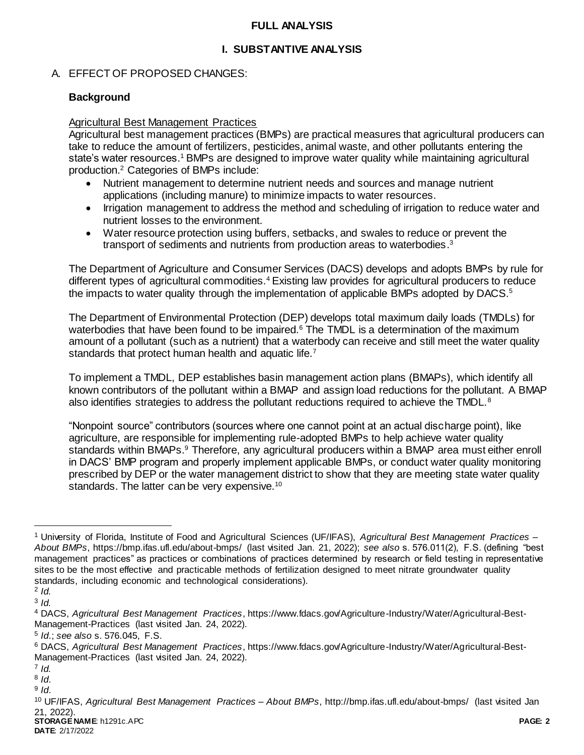### **FULL ANALYSIS**

# **I. SUBSTANTIVE ANALYSIS**

# A. EFFECT OF PROPOSED CHANGES:

# **Background**

### Agricultural Best Management Practices

Agricultural best management practices (BMPs) are practical measures that agricultural producers can take to reduce the amount of fertilizers, pesticides, animal waste, and other pollutants entering the state's water resources.<sup>1</sup> BMPs are designed to improve water quality while maintaining agricultural production.<sup>2</sup> Categories of BMPs include:

- Nutrient management to determine nutrient needs and sources and manage nutrient applications (including manure) to minimize impacts to water resources.
- Irrigation management to address the method and scheduling of irrigation to reduce water and nutrient losses to the environment.
- Water resource protection using buffers, setbacks, and swales to reduce or prevent the transport of sediments and nutrients from production areas to waterbodies.<sup>3</sup>

The Department of Agriculture and Consumer Services (DACS) develops and adopts BMPs by rule for different types of agricultural commodities.<sup>4</sup> Existing law provides for agricultural producers to reduce the impacts to water quality through the implementation of applicable BMPs adopted by DACS.<sup>5</sup>

The Department of Environmental Protection (DEP) develops total maximum daily loads (TMDLs) for waterbodies that have been found to be impaired.<sup>6</sup> The TMDL is a determination of the maximum amount of a pollutant (such as a nutrient) that a waterbody can receive and still meet the water quality standards that protect human health and aquatic life.<sup>7</sup>

To implement a TMDL, DEP establishes basin management action plans (BMAPs), which identify all known contributors of the pollutant within a BMAP and assign load reductions for the pollutant. A BMAP also identifies strategies to address the pollutant reductions required to achieve the TMDL.<sup>8</sup>

"Nonpoint source" contributors (sources where one cannot point at an actual discharge point), like agriculture, are responsible for implementing rule-adopted BMPs to help achieve water quality standards within BMAPs.<sup>9</sup> Therefore, any agricultural producers within a BMAP area must either enroll in DACS' BMP program and properly implement applicable BMPs, or conduct water quality monitoring prescribed by DEP or the water management district to show that they are meeting state water quality standards. The latter can be very expensive.<sup>10</sup>

<sup>1</sup> University of Florida, Institute of Food and Agricultural Sciences (UF/IFAS), *Agricultural Best Management Practices – About BMPs*, https://bmp.ifas.ufl.edu/about-bmps/ (last visited Jan. 21, 2022); *see also* s. 576.011(2), F.S. (defining "best management practices" as practices or combinations of practices determined by research or field testing in representative sites to be the most effective and practicable methods of fertilization designed to meet nitrate groundwater quality standards, including economic and technological considerations).

<sup>2</sup> *Id.*

<sup>3</sup> *Id.*

<sup>4</sup> DACS, *Agricultural Best Management Practices*, https://www.fdacs.gov/Agriculture-Industry/Water/Agricultural-Best-Management-Practices (last visited Jan. 24, 2022).

<sup>5</sup> *Id*.; *see also* s. 576.045, F.S.

<sup>6</sup> DACS, *Agricultural Best Management Practices*, https://www.fdacs.gov/Agriculture-Industry/Water/Agricultural-Best-Management-Practices (last visited Jan. 24, 2022).

<sup>7</sup> *Id.*

<sup>8</sup> *Id*.

<sup>9</sup> *Id*.

**STORAGE NAME**: h1291c.APC **PAGE: 2** <sup>10</sup> UF/IFAS, *Agricultural Best Management Practices – About BMPs*, http://bmp.ifas.ufl.edu/about-bmps/ (last visited Jan 21, 2022).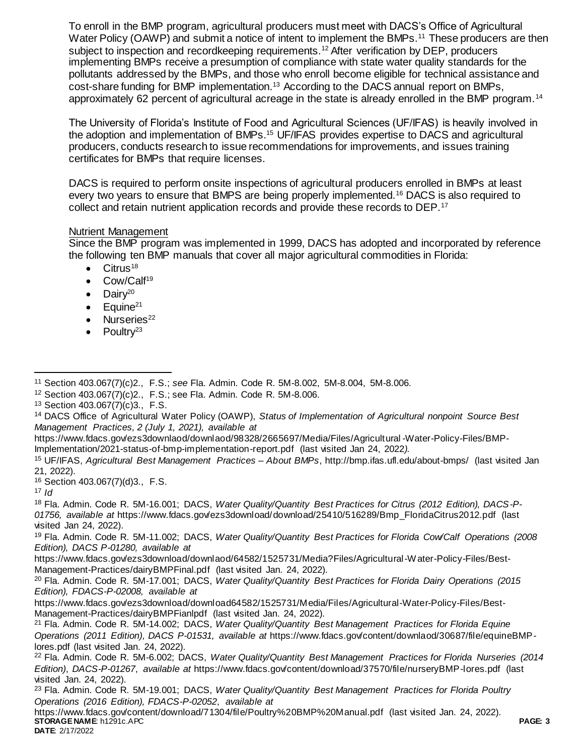To enroll in the BMP program, agricultural producers must meet with DACS's Office of Agricultural Water Policy (OAWP) and submit a notice of intent to implement the BMPs.<sup>11</sup> These producers are then subject to inspection and recordkeeping requirements.<sup>12</sup> After verification by DEP, producers implementing BMPs receive a presumption of compliance with state water quality standards for the pollutants addressed by the BMPs, and those who enroll become eligible for technical assistance and cost-share funding for BMP implementation.<sup>13</sup> According to the DACS annual report on BMPs, approximately 62 percent of agricultural acreage in the state is already enrolled in the BMP program.<sup>14</sup>

The University of Florida's Institute of Food and Agricultural Sciences (UF/IFAS) is heavily involved in the adoption and implementation of BMPs.<sup>15</sup> UF/IFAS provides expertise to DACS and agricultural producers, conducts research to issue recommendations for improvements, and issues training certificates for BMPs that require licenses.

DACS is required to perform onsite inspections of agricultural producers enrolled in BMPs at least every two years to ensure that BMPS are being properly implemented.<sup>16</sup> DACS is also required to collect and retain nutrient application records and provide these records to DEP.<sup>17</sup>

#### Nutrient Management

Since the BMP program was implemented in 1999, DACS has adopted and incorporated by reference the following ten BMP manuals that cover all major agricultural commodities in Florida:

- $\bullet$  Citrus<sup>18</sup>
- Cow/Calf<sup>19</sup>
- $\bullet$  Dairy<sup>20</sup>
- Equine<sup>21</sup>
- Nurseries<sup>22</sup>
- $\bullet$  Poultry<sup>23</sup>

- https://www.fdacs.gov/ezs3downlaod/downlaod/98328/2665697/Media/Files/Agricultural -Water-Policy-Files/BMP-Implementation/2021-status-of-bmp-implementation-report.pdf (last visited Jan 24, 2022*).*
- <sup>15</sup> UF/IFAS, *Agricultural Best Management Practices – About BMPs*, http://bmp.ifas.ufl.edu/about-bmps/ (last visited Jan 21, 2022).

<sup>16</sup> Section 403.067(7)(d)3., F.S.

<sup>17</sup> *Id*

<sup>18</sup> Fla. Admin. Code R. 5M-16.001; DACS, *Water Quality/Quantity Best Practices for Citrus (2012 Edition), DACS-P-01756, available at* https://www.fdacs.gov/ezs3download/download/25410/516289/Bmp\_FloridaCitrus2012.pdf (last visited Jan 24, 2022).

<sup>19</sup> Fla. Admin. Code R. 5M-11.002; DACS, *Water Quality/Quantity Best Practices for Florida Cow/Calf Operations (2008 Edition), DACS P-01280, available at*

https://www.fdacs.gov/ezs3download/downlaod/64582/1525731/Media?Files/Agricultural-Water-Policy-Files/Best-Management-Practices/dairyBMPFinal.pdf (last visited Jan. 24, 2022).

<sup>20</sup> Fla. Admin. Code R. 5M-17.001; DACS, *Water Quality/Quantity Best Practices for Florida Dairy Operations (2015 Edition), FDACS-P-02008, available at*

https://www.fdacs.gov/ezs3download/download64582/1525731/Media/Files/Agricultural-Water-Policy-Files/Best-Management-Practices/dairyBMPFianlpdf (last visited Jan. 24, 2022).

<sup>21</sup> Fla. Admin. Code R. 5M-14.002; DACS, *Water Quality/Quantity Best Management Practices for Florida Equine Operations (2011 Edition), DACS P-01531, available at* https://www.fdacs.gov/content/downlaod/30687/file/equineBMPlores.pdf (last visited Jan. 24, 2022).

<sup>23</sup> Fla. Admin. Code R. 5M-19.001; DACS, *Water Quality/Quantity Best Management Practices for Florida Poultry Operations (2016 Edition), FDACS-P-02052*, *available at*

**STORAGE NAME**: h1291c.APC **PAGE: 3** https://www.fdacs.gov/content/download/71304/file/Poultry%20BMP%20Manual.pdf (last visited Jan. 24, 2022).

 $\overline{a}$ <sup>11</sup> Section 403.067(7)(c)2., F.S.; *see* Fla. Admin. Code R. 5M-8.002, 5M-8.004, 5M-8.006.

<sup>12</sup> Section 403.067(7)(c)2., F.S.; see Fla. Admin. Code R. 5M-8.006.

<sup>13</sup> Section 403.067(7)(c)3., F.S.

<sup>14</sup> DACS Office of Agricultural Water Policy (OAWP), *Status of Implementation of Agricultural nonpoint Source Best Management Practices, 2 (July 1, 2021), available at*

<sup>22</sup> Fla. Admin. Code R. 5M-6.002; DACS, *Water Quality/Quantity Best Management Practices for Florida Nurseries (2014 Edition)*, *DACS-P-01267*, *available at* https://www.fdacs.gov/content/download/37570/file/nurseryBMP-lores.pdf (last visited Jan. 24, 2022).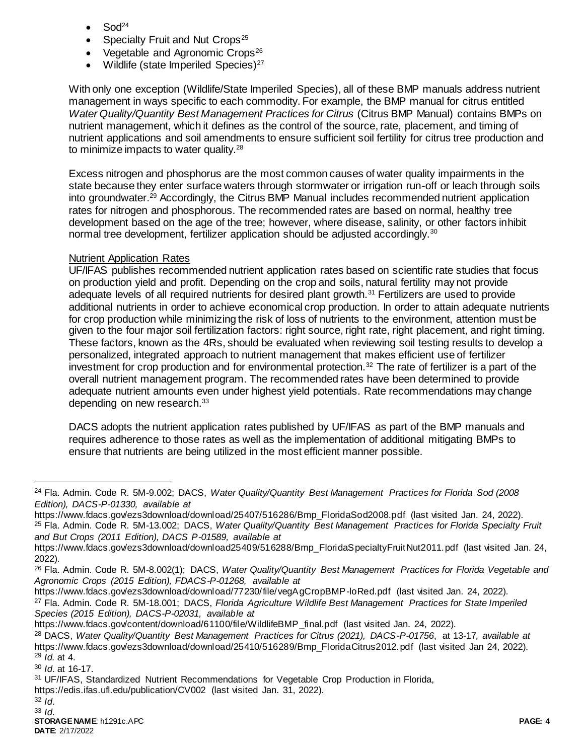- Sod<sup>24</sup>
- Specialty Fruit and Nut Crops<sup>25</sup>
- Vegetable and Agronomic Crops<sup>26</sup>
- Wildlife (state Imperiled Species)<sup>27</sup>

With only one exception (Wildlife/State Imperiled Species), all of these BMP manuals address nutrient management in ways specific to each commodity. For example, the BMP manual for citrus entitled *Water Quality/Quantity Best Management Practices for Citrus* (Citrus BMP Manual) contains BMPs on nutrient management, which it defines as the control of the source, rate, placement, and timing of nutrient applications and soil amendments to ensure sufficient soil fertility for citrus tree production and to minimize impacts to water quality.<sup>28</sup>

Excess nitrogen and phosphorus are the most common causes of water quality impairments in the state because they enter surface waters through stormwater or irrigation run-off or leach through soils into groundwater.<sup>29</sup> Accordingly, the Citrus BMP Manual includes recommended nutrient application rates for nitrogen and phosphorous. The recommended rates are based on normal, healthy tree development based on the age of the tree; however, where disease, salinity, or other factors inhibit normal tree development, fertilizer application should be adjusted accordingly.<sup>30</sup>

# Nutrient Application Rates

UF/IFAS publishes recommended nutrient application rates based on scientific rate studies that focus on production yield and profit. Depending on the crop and soils, natural fertility may not provide adequate levels of all required nutrients for desired plant growth.<sup>31</sup> Fertilizers are used to provide additional nutrients in order to achieve economical crop production. In order to attain adequate nutrients for crop production while minimizing the risk of loss of nutrients to the environment, attention must be given to the four major soil fertilization factors: right source, right rate, right placement, and right timing. These factors, known as the 4Rs, should be evaluated when reviewing soil testing results to develop a personalized, integrated approach to nutrient management that makes efficient use of fertilizer investment for crop production and for environmental protection.<sup>32</sup> The rate of fertilizer is a part of the overall nutrient management program. The recommended rates have been determined to provide adequate nutrient amounts even under highest yield potentials. Rate recommendations may change depending on new research.<sup>33</sup>

DACS adopts the nutrient application rates published by UF/IFAS as part of the BMP manuals and requires adherence to those rates as well as the implementation of additional mitigating BMPs to ensure that nutrients are being utilized in the most efficient manner possible.

<sup>30</sup> *Id*. at 16-17.

https://edis.ifas.ufl.edu/publication/CV002 (last visited Jan. 31, 2022).

<sup>24</sup> Fla. Admin. Code R. 5M-9.002; DACS, *Water Quality/Quantity Best Management Practices for Florida Sod (2008 Edition), DACS-P-01330, available at*

https://www.fdacs.gov/ezs3download/download/25407/516286/Bmp\_FloridaSod2008.pdf (last visited Jan. 24, 2022).

<sup>25</sup> Fla. Admin. Code R. 5M-13.002; DACS, *Water Quality/Quantity Best Management Practices for Florida Specialty Fruit and But Crops (2011 Edition), DACS P-01589, available at*

https://www.fdacs.gov/ezs3download/download25409/516288/Bmp\_FloridaSpecialtyFruitNut2011.pdf (last visited Jan. 24, 2022).

<sup>26</sup> Fla. Admin. Code R. 5M-8.002(1); DACS, *Water Quality/Quantity Best Management Practices for Florida Vegetable and Agronomic Crops (2015 Edition), FDACS-P-01268, available at*

https://www.fdacs.gov/ezs3download/download/77230/file/vegAgCropBMP-loRed.pdf (last visited Jan. 24, 2022).

<sup>27</sup> Fla. Admin. Code R. 5M-18.001; DACS, *Florida Agriculture Wildlife Best Management Practices for State Imperiled Species (2015 Edition), DACS-P-02031, available at*

https://www.fdacs.gov/content/download/61100/file/WildlifeBMP\_final.pdf (last visited Jan. 24, 2022).

<sup>28</sup> DACS, *Water Quality/Quantity Best Management Practices for Citrus (2021), DACS-P-01756*, at 13-17*, available at* https://www.fdacs.gov/ezs3download/download/25410/516289/Bmp\_FloridaCitrus2012.pdf (last visited Jan 24, 2022). <sup>29</sup> *Id.* at 4.

<sup>31</sup> UF/IFAS, Standardized Nutrient Recommendations for Vegetable Crop Production in Florida,

<sup>32</sup> *Id*. <sup>33</sup> *Id*.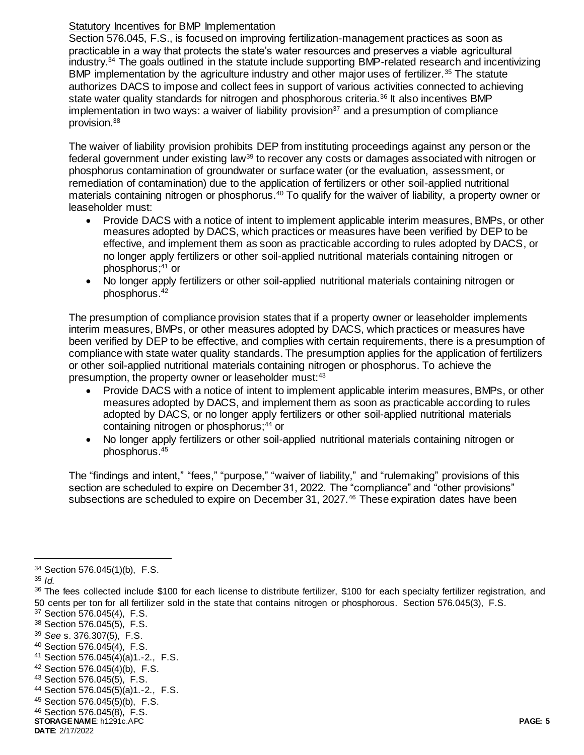### Statutory Incentives for BMP Implementation

Section 576.045, F.S., is focused on improving fertilization-management practices as soon as practicable in a way that protects the state's water resources and preserves a viable agricultural industry.<sup>34</sup> The goals outlined in the statute include supporting BMP-related research and incentivizing BMP implementation by the agriculture industry and other major uses of fertilizer.<sup>35</sup> The statute authorizes DACS to impose and collect fees in support of various activities connected to achieving state water quality standards for nitrogen and phosphorous criteria.<sup>36</sup> It also incentives BMP implementation in two ways: a waiver of liability provision<sup>37</sup> and a presumption of compliance provision.<sup>38</sup>

The waiver of liability provision prohibits DEP from instituting proceedings against any person or the federal government under existing law<sup>39</sup> to recover any costs or damages associated with nitrogen or phosphorus contamination of groundwater or surface water (or the evaluation, assessment, or remediation of contamination) due to the application of fertilizers or other soil-applied nutritional materials containing nitrogen or phosphorus.<sup>40</sup> To qualify for the waiver of liability, a property owner or leaseholder must:

- Provide DACS with a notice of intent to implement applicable interim measures, BMPs, or other measures adopted by DACS, which practices or measures have been verified by DEP to be effective, and implement them as soon as practicable according to rules adopted by DACS, or no longer apply fertilizers or other soil-applied nutritional materials containing nitrogen or phosphorus; <sup>41</sup> or
- No longer apply fertilizers or other soil-applied nutritional materials containing nitrogen or phosphorus.<sup>42</sup>

The presumption of compliance provision states that if a property owner or leaseholder implements interim measures, BMPs, or other measures adopted by DACS, which practices or measures have been verified by DEP to be effective, and complies with certain requirements, there is a presumption of compliance with state water quality standards. The presumption applies for the application of fertilizers or other soil-applied nutritional materials containing nitrogen or phosphorus. To achieve the presumption, the property owner or leaseholder must:<sup>43</sup>

- Provide DACS with a notice of intent to implement applicable interim measures, BMPs, or other measures adopted by DACS, and implement them as soon as practicable according to rules adopted by DACS, or no longer apply fertilizers or other soil-applied nutritional materials containing nitrogen or phosphorus;<sup>44</sup> or
- No longer apply fertilizers or other soil-applied nutritional materials containing nitrogen or phosphorus.<sup>45</sup>

The "findings and intent," "fees," "purpose," "waiver of liability," and "rulemaking" provisions of this section are scheduled to expire on December 31, 2022. The "compliance" and "other provisions" subsections are scheduled to expire on December 31, 2027.<sup>46</sup> These expiration dates have been

<sup>34</sup> Section 576.045(1)(b), F.S.

<sup>35</sup> *Id.* 

<sup>36</sup> The fees collected include \$100 for each license to distribute fertilizer, \$100 for each specialty fertilizer registration, and 50 cents per ton for all fertilizer sold in the state that contains nitrogen or phosphorous. Section 576.045(3), F.S.

<sup>37</sup> Section 576.045(4), F.S.

<sup>38</sup> Section 576.045(5), F.S.

<sup>39</sup> *See* s. 376.307(5), F.S.

<sup>40</sup> Section 576.045(4), F.S.

<sup>41</sup> Section 576.045(4)(a)1.-2., F.S.

<sup>42</sup> Section 576.045(4)(b), F.S.

<sup>43</sup> Section 576.045(5), F.S.

<sup>44</sup> Section 576.045(5)(a)1.-2., F.S.

<sup>45</sup> Section 576.045(5)(b), F.S.

<sup>46</sup> Section 576.045(8), F.S.

**STORAGE NAME**: h1291c.APC **PAGE: 5 DATE**: 2/17/2022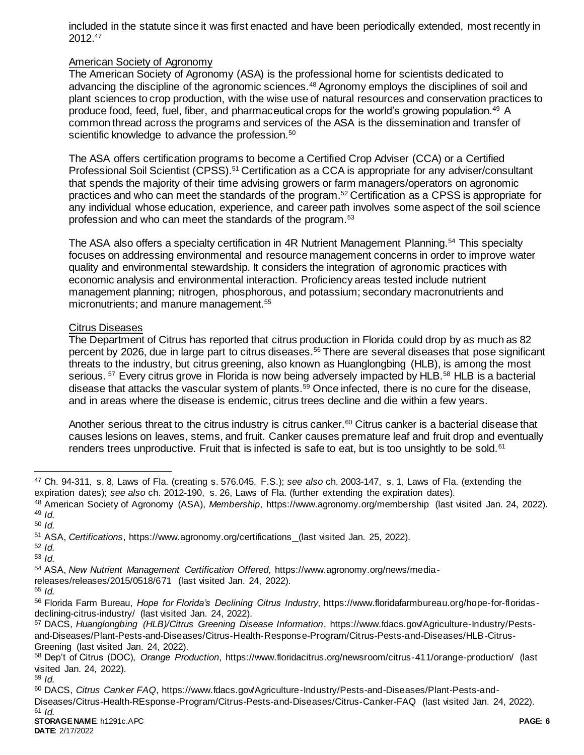included in the statute since it was first enacted and have been periodically extended, most recently in 2012.<sup>47</sup>

#### American Society of Agronomy

The American Society of Agronomy (ASA) is the professional home for scientists dedicated to advancing the discipline of the agronomic sciences.<sup>48</sup> Agronomy employs the disciplines of soil and plant sciences to crop production, with the wise use of natural resources and conservation practices to produce food, feed, fuel, fiber, and pharmaceutical crops for the world's growing population.<sup>49</sup> A common thread across the programs and services of the ASA is the dissemination and transfer of scientific knowledge to advance the profession.<sup>50</sup>

The ASA offers certification programs to become a Certified Crop Adviser (CCA) or a Certified Professional Soil Scientist (CPSS).<sup>51</sup> Certification as a CCA is appropriate for any adviser/consultant that spends the majority of their time advising growers or farm managers/operators on agronomic practices and who can meet the standards of the program.<sup>52</sup> Certification as a CPSS is appropriate for any individual whose education, experience, and career path involves some aspect of the soil science profession and who can meet the standards of the program.<sup>53</sup>

The ASA also offers a specialty certification in 4R Nutrient Management Planning.<sup>54</sup> This specialty focuses on addressing environmental and resource management concerns in order to improve water quality and environmental stewardship. It considers the integration of agronomic practices with economic analysis and environmental interaction. Proficiency areas tested include nutrient management planning; nitrogen, phosphorous, and potassium; secondary macronutrients and micronutrients; and manure management.<sup>55</sup>

#### Citrus Diseases

The Department of Citrus has reported that citrus production in Florida could drop by as much as 82 percent by 2026, due in large part to citrus diseases.<sup>56</sup> There are several diseases that pose significant threats to the industry, but citrus greening, also known as Huanglongbing (HLB), is among the most serious. <sup>57</sup> Every citrus grove in Florida is now being adversely impacted by HLB.<sup>58</sup> HLB is a bacterial disease that attacks the vascular system of plants.<sup>59</sup> Once infected, there is no cure for the disease, and in areas where the disease is endemic, citrus trees decline and die within a few years.

Another serious threat to the citrus industry is citrus canker.<sup>60</sup> Citrus canker is a bacterial disease that causes lesions on leaves, stems, and fruit. Canker causes premature leaf and fruit drop and eventually renders trees unproductive. Fruit that is infected is safe to eat, but is too unsightly to be sold.<sup>61</sup>

 $\overline{a}$ 

- releases/releases/2015/0518/671 (last visited Jan. 24, 2022).
- <sup>55</sup> *Id.*

<sup>59</sup> *Id.*

<sup>47</sup> Ch. 94-311, s. 8, Laws of Fla. (creating s. 576.045, F.S.); *see also* ch. 2003-147, s. 1, Laws of Fla. (extending the expiration dates); *see also* ch. 2012-190, s. 26, Laws of Fla. (further extending the expiration dates).

<sup>48</sup> American Society of Agronomy (ASA), *Membership*, https://www.agronomy.org/membership (last visited Jan. 24, 2022). <sup>49</sup> *Id.* 

<sup>50</sup> *Id.*

<sup>51</sup> ASA, *Certifications*, https://www.agronomy.org/certifications (last visited Jan. 25, 2022).

<sup>52</sup> *Id.*

<sup>53</sup> *Id.*

<sup>54</sup> ASA, *New Nutrient Management Certification Offered*, https://www.agronomy.org/news/media-

<sup>56</sup> Florida Farm Bureau, *Hope for Florida's Declining Citrus Industry*, https://www.floridafarmbureau.org/hope-for-floridasdeclining-citrus-industry/ (last visited Jan. 24, 2022).

<sup>57</sup> DACS, *Huanglongbing (HLB)/Citrus Greening Disease Information*, https://www.fdacs.gov/Agriculture-Industry/Pestsand-Diseases/Plant-Pests-and-Diseases/Citrus-Health-Response-Program/Citrus-Pests-and-Diseases/HLB-Citrus-Greening (last visited Jan. 24, 2022).

<sup>58</sup> Dep't of Citrus (DOC), *Orange Production*, https://www.floridacitrus.org/newsroom/citrus-411/orange-production/ (last visited Jan. 24, 2022).

<sup>60</sup> DACS, *Citrus Canker FAQ*, https://www.fdacs.gov/Agriculture-Industry/Pests-and-Diseases/Plant-Pests-and-Diseases/Citrus-Health-REsponse-Program/Citrus-Pests-and-Diseases/Citrus-Canker-FAQ (last visited Jan. 24, 2022).  $61$  *Id.*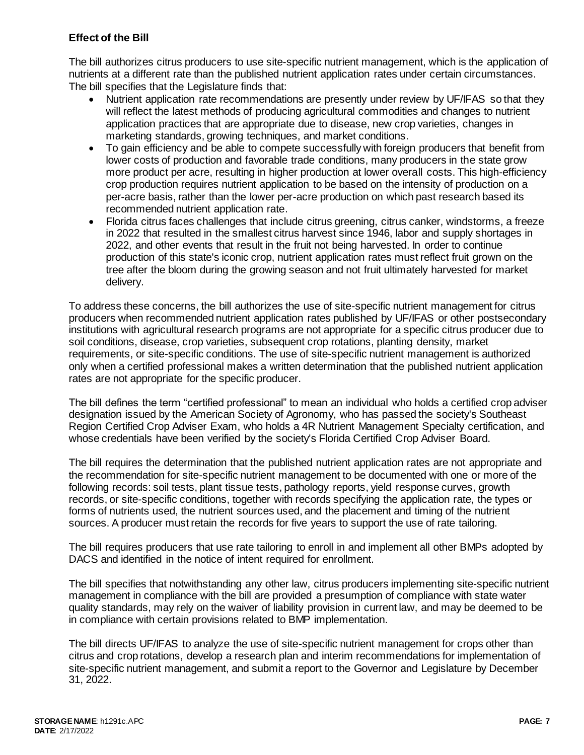# **Effect of the Bill**

The bill authorizes citrus producers to use site-specific nutrient management, which is the application of nutrients at a different rate than the published nutrient application rates under certain circumstances. The bill specifies that the Legislature finds that:

- Nutrient application rate recommendations are presently under review by UF/IFAS so that they will reflect the latest methods of producing agricultural commodities and changes to nutrient application practices that are appropriate due to disease, new crop varieties, changes in marketing standards, growing techniques, and market conditions.
- To gain efficiency and be able to compete successfully with foreign producers that benefit from lower costs of production and favorable trade conditions, many producers in the state grow more product per acre, resulting in higher production at lower overall costs. This high-efficiency crop production requires nutrient application to be based on the intensity of production on a per-acre basis, rather than the lower per-acre production on which past research based its recommended nutrient application rate.
- Florida citrus faces challenges that include citrus greening, citrus canker, windstorms, a freeze in 2022 that resulted in the smallest citrus harvest since 1946, labor and supply shortages in 2022, and other events that result in the fruit not being harvested. In order to continue production of this state's iconic crop, nutrient application rates must reflect fruit grown on the tree after the bloom during the growing season and not fruit ultimately harvested for market delivery.

To address these concerns, the bill authorizes the use of site-specific nutrient management for citrus producers when recommended nutrient application rates published by UF/IFAS or other postsecondary institutions with agricultural research programs are not appropriate for a specific citrus producer due to soil conditions, disease, crop varieties, subsequent crop rotations, planting density, market requirements, or site-specific conditions. The use of site-specific nutrient management is authorized only when a certified professional makes a written determination that the published nutrient application rates are not appropriate for the specific producer.

The bill defines the term "certified professional" to mean an individual who holds a certified crop adviser designation issued by the American Society of Agronomy, who has passed the society's Southeast Region Certified Crop Adviser Exam, who holds a 4R Nutrient Management Specialty certification, and whose credentials have been verified by the society's Florida Certified Crop Adviser Board.

The bill requires the determination that the published nutrient application rates are not appropriate and the recommendation for site-specific nutrient management to be documented with one or more of the following records: soil tests, plant tissue tests, pathology reports, yield response curves, growth records, or site-specific conditions, together with records specifying the application rate, the types or forms of nutrients used, the nutrient sources used, and the placement and timing of the nutrient sources. A producer must retain the records for five years to support the use of rate tailoring.

The bill requires producers that use rate tailoring to enroll in and implement all other BMPs adopted by DACS and identified in the notice of intent required for enrollment.

The bill specifies that notwithstanding any other law, citrus producers implementing site-specific nutrient management in compliance with the bill are provided a presumption of compliance with state water quality standards, may rely on the waiver of liability provision in current law, and may be deemed to be in compliance with certain provisions related to BMP implementation.

The bill directs UF/IFAS to analyze the use of site-specific nutrient management for crops other than citrus and crop rotations, develop a research plan and interim recommendations for implementation of site-specific nutrient management, and submit a report to the Governor and Legislature by December 31, 2022.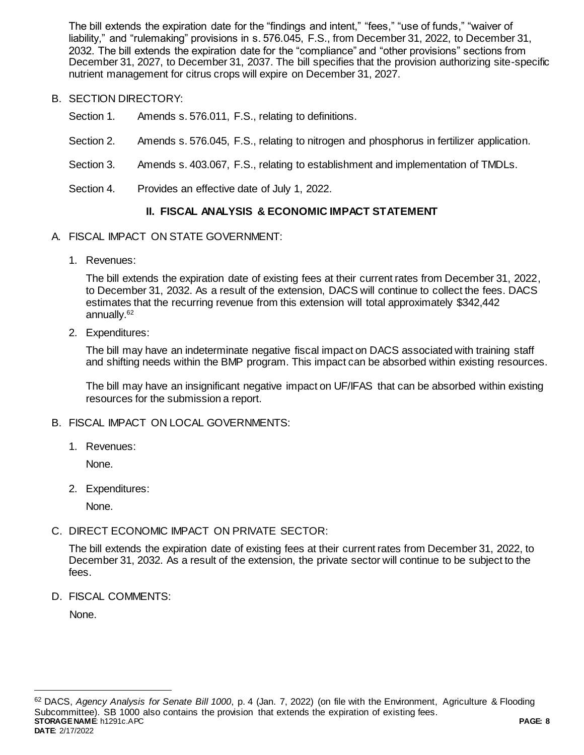The bill extends the expiration date for the "findings and intent," "fees," "use of funds," "waiver of liability," and "rulemaking" provisions in s. 576.045, F.S., from December 31, 2022, to December 31, 2032. The bill extends the expiration date for the "compliance" and "other provisions" sections from December 31, 2027, to December 31, 2037. The bill specifies that the provision authorizing site-specific nutrient management for citrus crops will expire on December 31, 2027.

- B. SECTION DIRECTORY:
	- Section 1. Amends s. 576.011, F.S., relating to definitions.
	- Section 2. Amends s. 576.045, F.S., relating to nitrogen and phosphorus in fertilizer application.
	- Section 3. Amends s. 403.067, F.S., relating to establishment and implementation of TMDLs.
	- Section 4. Provides an effective date of July 1, 2022.

# **II. FISCAL ANALYSIS & ECONOMIC IMPACT STATEMENT**

- A. FISCAL IMPACT ON STATE GOVERNMENT:
	- 1. Revenues:

The bill extends the expiration date of existing fees at their current rates from December 31, 2022, to December 31, 2032. As a result of the extension, DACS will continue to collect the fees. DACS estimates that the recurring revenue from this extension will total approximately \$342,442 annually.<sup>62</sup>

2. Expenditures:

The bill may have an indeterminate negative fiscal impact on DACS associated with training staff and shifting needs within the BMP program. This impact can be absorbed within existing resources.

The bill may have an insignificant negative impact on UF/IFAS that can be absorbed within existing resources for the submission a report.

- B. FISCAL IMPACT ON LOCAL GOVERNMENTS:
	- 1. Revenues:

None.

2. Expenditures:

None.

C. DIRECT ECONOMIC IMPACT ON PRIVATE SECTOR:

The bill extends the expiration date of existing fees at their current rates from December 31, 2022, to December 31, 2032. As a result of the extension, the private sector will continue to be subject to the fees.

D. FISCAL COMMENTS:

None.

**STORAGE NAME**: h1291c.APC **PAGE: 8 DATE**: 2/17/2022 <sup>62</sup> DACS, *Agency Analysis for Senate Bill 1000*, p. 4 (Jan. 7, 2022) (on file with the Environment, Agriculture & Flooding Subcommittee). SB 1000 also contains the provision that extends the expiration of existing fees.